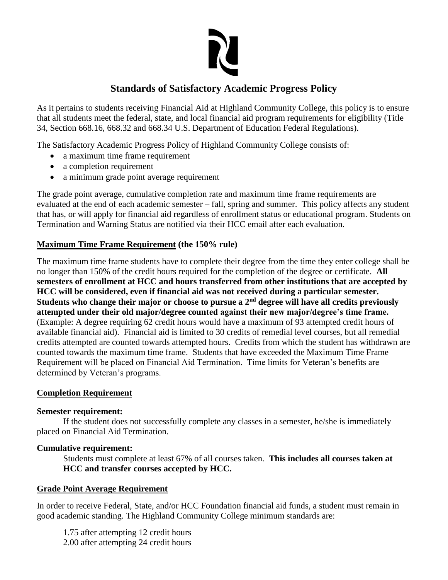

# **Standards of Satisfactory Academic Progress Policy**

As it pertains to students receiving Financial Aid at Highland Community College, this policy is to ensure that all students meet the federal, state, and local financial aid program requirements for eligibility (Title 34, Section 668.16, 668.32 and 668.34 U.S. Department of Education Federal Regulations).

The Satisfactory Academic Progress Policy of Highland Community College consists of:

- a maximum time frame requirement
- a completion requirement
- a minimum grade point average requirement

The grade point average, cumulative completion rate and maximum time frame requirements are evaluated at the end of each academic semester – fall, spring and summer. This policy affects any student that has, or will apply for financial aid regardless of enrollment status or educational program. Students on Termination and Warning Status are notified via their HCC email after each evaluation.

### **Maximum Time Frame Requirement (the 150% rule)**

The maximum time frame students have to complete their degree from the time they enter college shall be no longer than 150% of the credit hours required for the completion of the degree or certificate. **All semesters of enrollment at HCC and hours transferred from other institutions that are accepted by HCC will be considered, even if financial aid was not received during a particular semester. Students who change their major or choose to pursue a 2nd degree will have all credits previously attempted under their old major/degree counted against their new major/degree's time frame.** (Example: A degree requiring 62 credit hours would have a maximum of 93 attempted credit hours of available financial aid). Financial aid is limited to 30 credits of remedial level courses, but all remedial credits attempted are counted towards attempted hours. Credits from which the student has withdrawn are counted towards the maximum time frame. Students that have exceeded the Maximum Time Frame Requirement will be placed on Financial Aid Termination. Time limits for Veteran's benefits are determined by Veteran's programs.

#### **Completion Requirement**

#### **Semester requirement:**

If the student does not successfully complete any classes in a semester, he/she is immediately placed on Financial Aid Termination.

#### **Cumulative requirement:**

Students must complete at least 67% of all courses taken. **This includes all courses taken at HCC and transfer courses accepted by HCC.** 

#### **Grade Point Average Requirement**

In order to receive Federal, State, and/or HCC Foundation financial aid funds, a student must remain in good academic standing. The Highland Community College minimum standards are:

1.75 after attempting 12 credit hours 2.00 after attempting 24 credit hours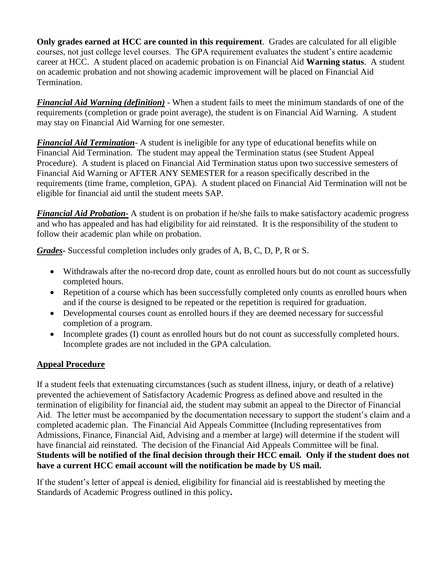**Only grades earned at HCC are counted in this requirement**. Grades are calculated for all eligible courses, not just college level courses. The GPA requirement evaluates the student's entire academic career at HCC. A student placed on academic probation is on Financial Aid **Warning status**. A student on academic probation and not showing academic improvement will be placed on Financial Aid Termination.

*Financial Aid Warning (definition)* - When a student fails to meet the minimum standards of one of the requirements (completion or grade point average), the student is on Financial Aid Warning. A student may stay on Financial Aid Warning for one semester.

*Financial Aid Termination*- A student is ineligible for any type of educational benefits while on Financial Aid Termination. The student may appeal the Termination status (see Student Appeal Procedure). A student is placed on Financial Aid Termination status upon two successive semesters of Financial Aid Warning or AFTER ANY SEMESTER for a reason specifically described in the requirements (time frame, completion, GPA). A student placed on Financial Aid Termination will not be eligible for financial aid until the student meets SAP.

*Financial Aid Probation-* A student is on probation if he/she fails to make satisfactory academic progress and who has appealed and has had eligibility for aid reinstated. It is the responsibility of the student to follow their academic plan while on probation.

*Grades-* Successful completion includes only grades of A, B, C, D, P, R or S.

- Withdrawals after the no-record drop date, count as enrolled hours but do not count as successfully completed hours.
- Repetition of a course which has been successfully completed only counts as enrolled hours when and if the course is designed to be repeated or the repetition is required for graduation.
- Developmental courses count as enrolled hours if they are deemed necessary for successful completion of a program.
- Incomplete grades (I) count as enrolled hours but do not count as successfully completed hours. Incomplete grades are not included in the GPA calculation.

#### **Appeal Procedure**

If a student feels that extenuating circumstances (such as student illness, injury, or death of a relative) prevented the achievement of Satisfactory Academic Progress as defined above and resulted in the termination of eligibility for financial aid, the student may submit an appeal to the Director of Financial Aid. The letter must be accompanied by the documentation necessary to support the student's claim and a completed academic plan. The Financial Aid Appeals Committee (Including representatives from Admissions, Finance, Financial Aid, Advising and a member at large) will determine if the student will have financial aid reinstated. The decision of the Financial Aid Appeals Committee will be final. **Students will be notified of the final decision through their HCC email. Only if the student does not have a current HCC email account will the notification be made by US mail.**

If the student's letter of appeal is denied, eligibility for financial aid is reestablished by meeting the Standards of Academic Progress outlined in this policy**.**